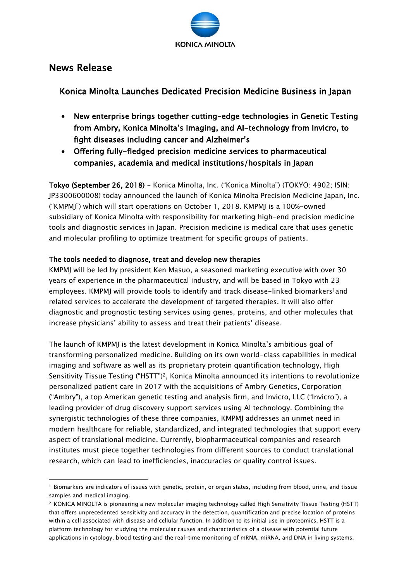

# News Release

1

## Konica Minolta Launches Dedicated Precision Medicine Business in Japan

- New enterprise brings together cutting-edge technologies in Genetic Testing from Ambry, Konica Minolta's Imaging, and AI-technology from Invicro, to fight diseases including cancer and Alzheimer's
- Offering fully-fledged precision medicine services to pharmaceutical companies, academia and medical institutions/hospitals in Japan

Tokyo (September 26, 2018) - Konica Minolta, Inc. ("Konica Minolta") (TOKYO: 4902; ISIN: JP3300600008) today announced the launch of Konica Minolta Precision Medicine Japan, Inc. ("KMPMJ") which will start operations on October 1, 2018. KMPMJ is a 100%-owned subsidiary of Konica Minolta with responsibility for marketing high-end precision medicine tools and diagnostic services in Japan. Precision medicine is medical care that uses genetic and molecular profiling to optimize treatment for specific groups of patients.

## The tools needed to diagnose, treat and develop new therapies

KMPMJ will be led by president Ken Masuo, a seasoned marketing executive with over 30 years of experience in the pharmaceutical industry, and will be based in Tokyo with 23 employees. KMPMJ will provide tools to identify and track disease-linked biomarkers<sup>1</sup>and related services to accelerate the development of targeted therapies. It will also offer diagnostic and prognostic testing services using genes, proteins, and other molecules that increase physicians' ability to assess and treat their patients' disease.

The launch of KMPMJ is the latest development in Konica Minolta's ambitious goal of transforming personalized medicine. Building on its own world-class capabilities in medical imaging and software as well as its proprietary protein quantification technology, High Sensitivity Tissue Testing ("HSTT") <sup>2</sup>, Konica Minolta announced its intentions to revolutionize personalized patient care in 2017 with the acquisitions of Ambry Genetics, Corporation ("Ambry"), a top American genetic testing and analysis firm, and Invicro, LLC ("Invicro"), a leading provider of drug discovery support services using AI technology. Combining the synergistic technologies of these three companies, KMPMJ addresses an unmet need in modern healthcare for reliable, standardized, and integrated technologies that support every aspect of translational medicine. Currently, biopharmaceutical companies and research institutes must piece together technologies from different sources to conduct translational research, which can lead to inefficiencies, inaccuracies or quality control issues.

<sup>1</sup> Biomarkers are indicators of issues with genetic, protein, or organ states, including from blood, urine, and tissue samples and medical imaging.

<sup>2</sup> KONICA MINOLTA is pioneering a new molecular imaging technology called High Sensitivity Tissue Testing (HSTT) that offers unprecedented sensitivity and accuracy in the detection, quantification and precise location of proteins within a cell associated with disease and cellular function. In addition to its initial use in proteomics, HSTT is a platform technology for studying the molecular causes and characteristics of a disease with potential future applications in cytology, blood testing and the real-time monitoring of mRNA, miRNA, and DNA in living systems.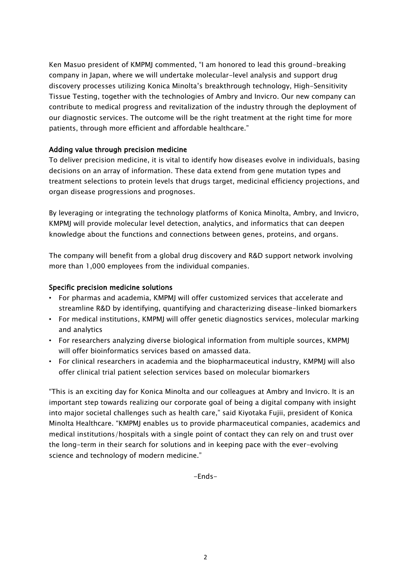Ken Masuo president of KMPMJ commented, "I am honored to lead this ground-breaking company in Japan, where we will undertake molecular-level analysis and support drug discovery processes utilizing Konica Minolta's breakthrough technology, High-Sensitivity Tissue Testing, together with the technologies of Ambry and Invicro. Our new company can contribute to medical progress and revitalization of the industry through the deployment of our diagnostic services. The outcome will be the right treatment at the right time for more patients, through more efficient and affordable healthcare."

### Adding value through precision medicine

To deliver precision medicine, it is vital to identify how diseases evolve in individuals, basing decisions on an array of information. These data extend from gene mutation types and treatment selections to protein levels that drugs target, medicinal efficiency projections, and organ disease progressions and prognoses.

By leveraging or integrating the technology platforms of Konica Minolta, Ambry, and Invicro, KMPMJ will provide molecular level detection, analytics, and informatics that can deepen knowledge about the functions and connections between genes, proteins, and organs.

The company will benefit from a global drug discovery and R&D support network involving more than 1,000 employees from the individual companies.

## Specific precision medicine solutions

- For pharmas and academia, KMPMJ will offer customized services that accelerate and streamline R&D by identifying, quantifying and characterizing disease-linked biomarkers
- For medical institutions, KMPMJ will offer genetic diagnostics services, molecular marking and analytics
- For researchers analyzing diverse biological information from multiple sources, KMPMJ will offer bioinformatics services based on amassed data.
- For clinical researchers in academia and the biopharmaceutical industry, KMPMJ will also offer clinical trial patient selection services based on molecular biomarkers

"This is an exciting day for Konica Minolta and our colleagues at Ambry and Invicro. It is an important step towards realizing our corporate goal of being a digital company with insight into major societal challenges such as health care," said Kiyotaka Fujii, president of Konica Minolta Healthcare. "KMPMJ enables us to provide pharmaceutical companies, academics and medical institutions/hospitals with a single point of contact they can rely on and trust over the long-term in their search for solutions and in keeping pace with the ever-evolving science and technology of modern medicine."

-Ends-